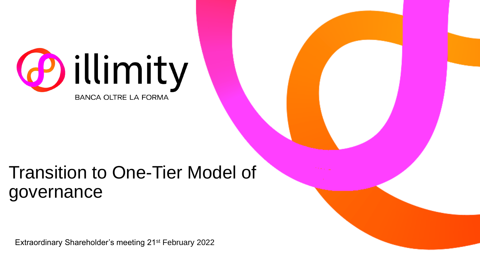

### Transition to One-Tier Model of governance

Extraordinary Shareholder's meeting 21st February 2022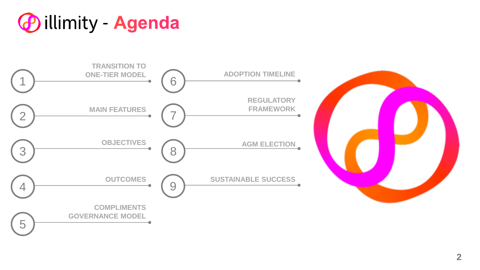



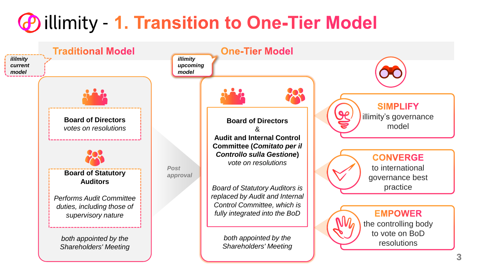## <span id="page-2-0"></span>**@ illimity - 1. Transition to One-Tier Model**

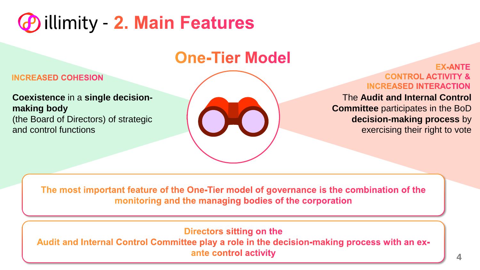### <span id="page-3-0"></span>**D** illimity - 2. Main Features

### **One-Tier Model**

#### **INCREASED COHESION**

**Coexistence** in a **single decisionmaking body**  (the Board of Directors) of strategic and control functions



#### **FX-ANTF CONTROL ACTIVITY & INCREASED INTERACTION**

The **Audit and Internal Control Committee** participates in the BoD **decision-making process** by exercising their right to vote

The most important feature of the One-Tier model of governance is the combination of the monitoring and the managing bodies of the corporation

Directors sitting on the

Audit and Internal Control Committee play a role in the decision-making process with an exante control activity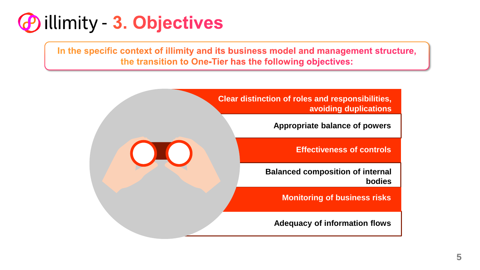<span id="page-4-0"></span>

In the specific context of illimity and its business model and management structure, the transition to One-Tier has the following objectives:

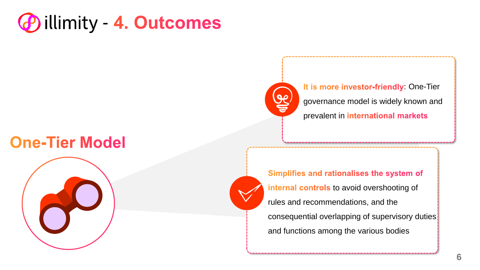<span id="page-5-0"></span>

### **One-Tier Model**



It is more investor-friendly One-Tier governance model is widely known and prevalent in international markets

Simplifies and rationalises the system of internal controls to avoid overshooting of rules and recommendations, and the consequential overlapping of supervisory duties and functions among the various bodies

 $9e$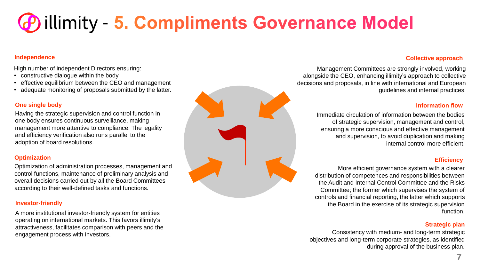## <span id="page-6-0"></span>**@ illimity - 5. Compliments Governance Model**

#### **Independence**

High number of independent Directors ensuring:

- constructive dialogue within the body
- effective equilibrium between the CEO and management
- adequate monitoring of proposals submitted by the latter.

#### **One single body**

Having the strategic supervision and control function in one body ensures continuous surveillance, making management more attentive to compliance. The legality and efficiency verification also runs parallel to the adoption of board resolutions.

#### **Optimization**

Optimization of administration processes, management and control functions, maintenance of preliminary analysis and overall decisions carried out by all the Board Committees according to their well-defined tasks and functions.

#### **Investor-friendly**

A more institutional investor-friendly system for entities operating on international markets. This favors illimity's attractiveness, facilitates comparison with peers and the engagement process with investors.

#### **Collective approach**

Management Committees are strongly involved, working alongside the CEO, enhancing illimity's approach to collective decisions and proposals, in line with international and European guidelines and internal practices.

#### **Information flow**

Immediate circulation of information between the bodies of strategic supervision, management and control, ensuring a more conscious and effective management and supervision, to avoid duplication and making internal control more efficient.

#### **Efficiency**

More efficient governance system with a clearer distribution of competences and responsibilities between the Audit and Internal Control Committee and the Risks Committee; the former which supervises the system of controls and financial reporting, the latter which supports the Board in the exercise of its strategic supervision function.

#### **Strategic plan**

Consistency with medium- and long-term strategic objectives and long-term corporate strategies, as identified during approval of the business plan.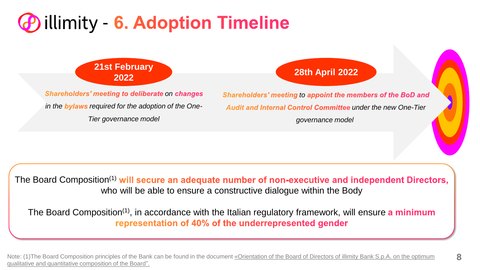### <span id="page-7-0"></span>*E* illimity - 6. Adoption Timeline

**21st February** 

**Shareholders' meeting to deliberate on changes** in the **bylaws** required for the adoption of the One-*Tier governance model* 

### **<sup>2022</sup> 28th April 2022**

**Shareholders' meeting to appoint the members of the BoD and** Audit and Internal Control Committee under the new One-Tier *governance model*

**8**

The Board Composition<sup>(1)</sup> will secure an adequate number of non-executive and independent Directors, who will be able to ensure a constructive dialogue within the Body

The Board Composition<sup>(1)</sup>, in accordance with the Italian regulatory framework, will ensure a minimum representation of 40% of the underrepresented gender

Note: (1)The Board Composition principles of the Bank can be found in the document [«Orientation of the Board of Directors of illimity Bank S.p.A. on the optimum](https://assets.ctfassets.net/0ei02du1nnrl/28tKIhuvAyanW7CmGdt5jc/d95386b560466acc9d9e1586e450b892/ILLIMITY_Orientation_Board_Composition_2021.pdf)  qualitative and quantitative composition of the Board".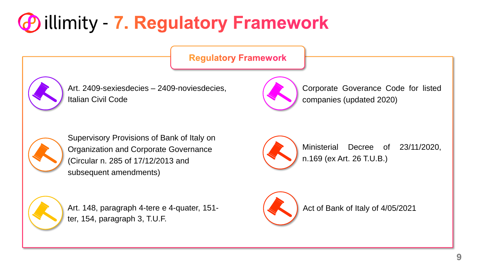# <span id="page-8-0"></span>**D** illimity - 7. Regulatory Framework

**Regulatory Framework** 



Art. 2409-sexiesdecies – 2409-noviesdecies, Italian Civil Code

Corporate Goverance Code for listed companies (updated 2020)



Supervisory Provisions of Bank of Italy on Organization and Corporate Governance (Circular n. 285 of 17/12/2013 and subsequent amendments)



Art. 148, paragraph 4-tere e 4-quater, 151 ter, 154, paragraph 3, T.U.F.



Ministerial Decree of 23/11/2020, n.169 (ex Art. 26 T.U.B.)



Act of Bank of Italy of 4/05/2021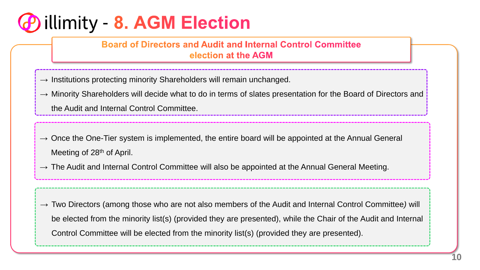### <span id="page-9-0"></span>*P* illimity - 8. AGM Election

**Board of Directors and Audit and Internal Control Committee** election at the AGM

- $\rightarrow$  Institutions protecting minority Shareholders will remain unchanged.
- $\rightarrow$  Minority Shareholders will decide what to do in terms of slates presentation for the Board of Directors and the Audit and Internal Control Committee.
- $\rightarrow$  Once the One-Tier system is implemented, the entire board will be appointed at the Annual General Meeting of 28<sup>th</sup> of April.
- $\rightarrow$  The Audit and Internal Control Committee will also be appointed at the Annual General Meeting.

→ Two Directors (among those who are not also members of the Audit and Internal Control Committee*)* will be elected from the minority list(s) (provided they are presented), while the Chair of the Audit and Internal Control Committee will be elected from the minority list(s) (provided they are presented).